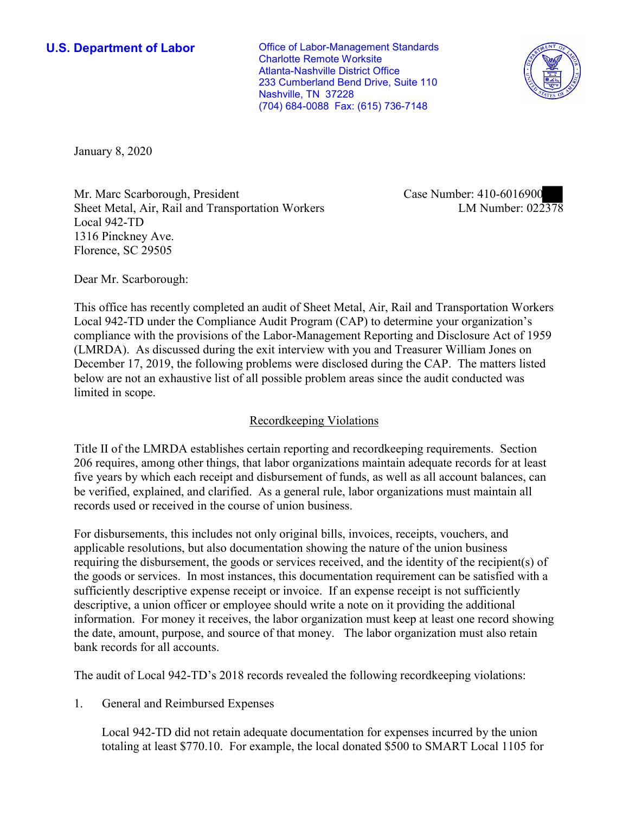(704) 684-0088 Fax: (615) 736-7148 **U.S. Department of Labor Conservative Conservative Conservative Conservative Conservative Conservative Conservative Conservative Conservative Conservative Conservative Conservative Conservative Conservative Conservative** Charlotte Remote Worksite Atlanta-Nashville District Office 233 Cumberland Bend Drive, Suite 110 Nashville, TN 37228



January 8, 2020

Mr. Marc Scarborough, President Sheet Metal, Air, Rail and Transportation Workers Local 942-TD 1316 Pinckney Ave. Florence, SC 29505

Case Number: 410-6016900<br>LM Number: 022378

Dear Mr. Scarborough:

 This office has recently completed an audit of Sheet Metal, Air, Rail and Transportation Workers (LMRDA). As discussed during the exit interview with you and Treasurer William Jones on Local 942-TD under the Compliance Audit Program (CAP) to determine your organization's compliance with the provisions of the Labor-Management Reporting and Disclosure Act of 1959 December 17, 2019, the following problems were disclosed during the CAP. The matters listed below are not an exhaustive list of all possible problem areas since the audit conducted was limited in scope.

## Recordkeeping Violations

 Title II of the LMRDA establishes certain reporting and recordkeeping requirements. Section 206 requires, among other things, that labor organizations maintain adequate records for at least five years by which each receipt and disbursement of funds, as well as all account balances, can be verified, explained, and clarified. As a general rule, labor organizations must maintain all records used or received in the course of union business.

For disbursements, this includes not only original bills, invoices, receipts, vouchers, and applicable resolutions, but also documentation showing the nature of the union business requiring the disbursement, the goods or services received, and the identity of the recipient(s) of the goods or services. In most instances, this documentation requirement can be satisfied with a sufficiently descriptive expense receipt or invoice. If an expense receipt is not sufficiently descriptive, a union officer or employee should write a note on it providing the additional information. For money it receives, the labor organization must keep at least one record showing the date, amount, purpose, and source of that money. The labor organization must also retain bank records for all accounts.

The audit of Local 942-TD's 2018 records revealed the following recordkeeping violations:

1. General and Reimbursed Expenses

Local 942-TD did not retain adequate documentation for expenses incurred by the union totaling at least \$770.10. For example, the local donated \$500 to SMART Local 1105 for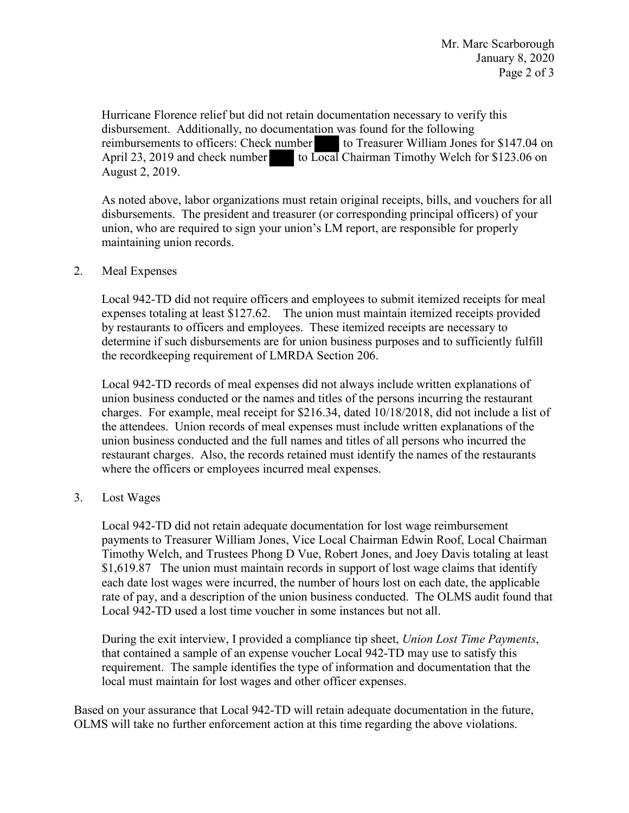not retain docu<br>scumentation<br>x number<br>to Local Hurricane Florence relief but did not retain documentation necessary to verify this disbursement. Additionally, no documentation was found for the following reimbursements to officers: Check number to Treasurer William Jones for \$147.04 on April 23, 2019 and check number to Local Chairman Timothy Welch for \$123.06 on August 2, 2019.

 disbursements. The president and treasurer (or corresponding principal officers) of your As noted above, labor organizations must retain original receipts, bills, and vouchers for all union, who are required to sign your union's LM report, are responsible for properly maintaining union records.

### 2. Meal Expenses

Local 942-TD did not require officers and employees to submit itemized receipts for meal expenses totaling at least \$127.62. The union must maintain itemized receipts provided by restaurants to officers and employees. These itemized receipts are necessary to determine if such disbursements are for union business purposes and to sufficiently fulfill the recordkeeping requirement of LMRDA Section 206.

 Local 942-TD records of meal expenses did not always include written explanations of where the officers or employees incurred meal expenses.<br>3. Lost Wages union business conducted or the names and titles of the persons incurring the restaurant charges. For example, meal receipt for \$216.34, dated 10/18/2018, did not include a list of the attendees. Union records of meal expenses must include written explanations of the union business conducted and the full names and titles of all persons who incurred the restaurant charges. Also, the records retained must identify the names of the restaurants

 payments to Treasurer William Jones, Vice Local Chairman Edwin Roof, Local Chairman Local 942-TD did not retain adequate documentation for lost wage reimbursement Timothy Welch, and Trustees Phong D Vue, Robert Jones, and Joey Davis totaling at least [\\$1,619.87](https://1,619.87) The union must maintain records in support of lost wage claims that identify each date lost wages were incurred, the number of hours lost on each date, the applicable rate of pay, and a description of the union business conducted. The OLMS audit found that Local 942-TD used a lost time voucher in some instances but not all.

During the exit interview, I provided a compliance tip sheet, *Union Lost Time Payments*, that contained a sample of an expense voucher Local 942-TD may use to satisfy this requirement. The sample identifies the type of information and documentation that the local must maintain for lost wages and other officer expenses.

 Based on your assurance that Local 942-TD will retain adequate documentation in the future, OLMS will take no further enforcement action at this time regarding the above violations.